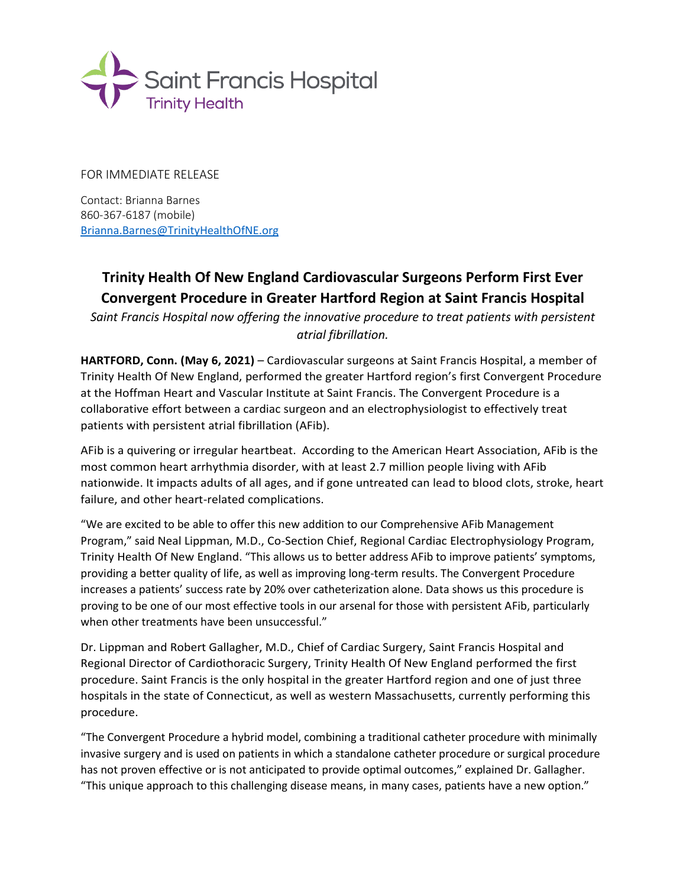

FOR IMMEDIATE RELEASE

Contact: Brianna Barnes 860-367-6187 (mobile) [Brianna.Barnes@TrinityHealthOfNE.org](mailto:Brianna.Barnes@TrinityHealthOfNE.org)

## **Trinity Health Of New England Cardiovascular Surgeons Perform First Ever Convergent Procedure in Greater Hartford Region at Saint Francis Hospital**

*Saint Francis Hospital now offering the innovative procedure to treat patients with persistent atrial fibrillation.*

**HARTFORD, Conn. (May 6, 2021)** – Cardiovascular surgeons at Saint Francis Hospital, a member of Trinity Health Of New England, performed the greater Hartford region's first Convergent Procedure at the Hoffman Heart and Vascular Institute at Saint Francis. The Convergent Procedure is a collaborative effort between a cardiac surgeon and an electrophysiologist to effectively treat patients with persistent atrial fibrillation (AFib).

AFib is a quivering or irregular heartbeat. According to the American Heart Association, AFib is the most common heart arrhythmia disorder, with at least 2.7 million people living with AFib nationwide. It impacts adults of all ages, and if gone untreated can lead to blood clots, stroke, heart failure, and other heart-related complications.

"We are excited to be able to offer this new addition to our Comprehensive AFib Management Program," said Neal Lippman, M.D., Co-Section Chief, Regional Cardiac Electrophysiology Program, Trinity Health Of New England. "This allows us to better address AFib to improve patients' symptoms, providing a better quality of life, as well as improving long-term results. The Convergent Procedure increases a patients' success rate by 20% over catheterization alone. Data shows us this procedure is proving to be one of our most effective tools in our arsenal for those with persistent AFib, particularly when other treatments have been unsuccessful."

Dr. Lippman and Robert Gallagher, M.D., Chief of Cardiac Surgery, Saint Francis Hospital and Regional Director of Cardiothoracic Surgery, Trinity Health Of New England performed the first procedure. Saint Francis is the only hospital in the greater Hartford region and one of just three hospitals in the state of Connecticut, as well as western Massachusetts, currently performing this procedure.

"The Convergent Procedure a hybrid model, combining a traditional catheter procedure with minimally invasive surgery and is used on patients in which a standalone catheter procedure or surgical procedure has not proven effective or is not anticipated to provide optimal outcomes," explained Dr. Gallagher. "This unique approach to this challenging disease means, in many cases, patients have a new option."